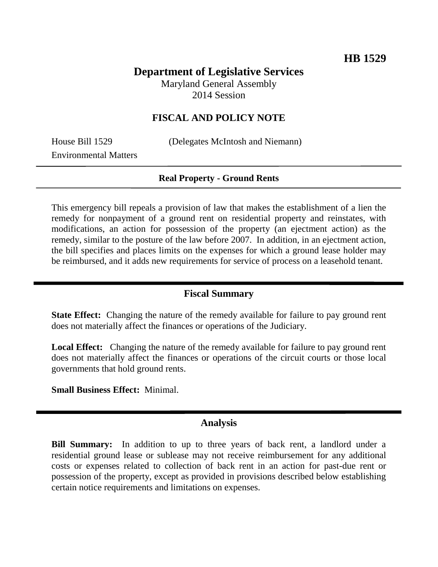# **Department of Legislative Services**

Maryland General Assembly 2014 Session

## **FISCAL AND POLICY NOTE**

Environmental Matters

House Bill 1529 (Delegates McIntosh and Niemann)

#### **Real Property - Ground Rents**

This emergency bill repeals a provision of law that makes the establishment of a lien the remedy for nonpayment of a ground rent on residential property and reinstates, with modifications, an action for possession of the property (an ejectment action) as the remedy, similar to the posture of the law before 2007. In addition, in an ejectment action, the bill specifies and places limits on the expenses for which a ground lease holder may be reimbursed, and it adds new requirements for service of process on a leasehold tenant.

## **Fiscal Summary**

**State Effect:** Changing the nature of the remedy available for failure to pay ground rent does not materially affect the finances or operations of the Judiciary.

**Local Effect:** Changing the nature of the remedy available for failure to pay ground rent does not materially affect the finances or operations of the circuit courts or those local governments that hold ground rents.

**Small Business Effect:** Minimal.

#### **Analysis**

**Bill Summary:** In addition to up to three years of back rent, a landlord under a residential ground lease or sublease may not receive reimbursement for any additional costs or expenses related to collection of back rent in an action for past-due rent or possession of the property, except as provided in provisions described below establishing certain notice requirements and limitations on expenses.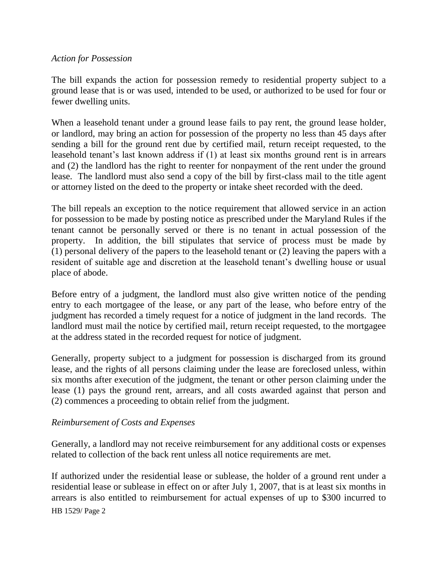## *Action for Possession*

The bill expands the action for possession remedy to residential property subject to a ground lease that is or was used, intended to be used, or authorized to be used for four or fewer dwelling units.

When a leasehold tenant under a ground lease fails to pay rent, the ground lease holder, or landlord, may bring an action for possession of the property no less than 45 days after sending a bill for the ground rent due by certified mail, return receipt requested, to the leasehold tenant's last known address if (1) at least six months ground rent is in arrears and (2) the landlord has the right to reenter for nonpayment of the rent under the ground lease. The landlord must also send a copy of the bill by first-class mail to the title agent or attorney listed on the deed to the property or intake sheet recorded with the deed.

The bill repeals an exception to the notice requirement that allowed service in an action for possession to be made by posting notice as prescribed under the Maryland Rules if the tenant cannot be personally served or there is no tenant in actual possession of the property. In addition, the bill stipulates that service of process must be made by (1) personal delivery of the papers to the leasehold tenant or (2) leaving the papers with a resident of suitable age and discretion at the leasehold tenant's dwelling house or usual place of abode.

Before entry of a judgment, the landlord must also give written notice of the pending entry to each mortgagee of the lease, or any part of the lease, who before entry of the judgment has recorded a timely request for a notice of judgment in the land records. The landlord must mail the notice by certified mail, return receipt requested, to the mortgagee at the address stated in the recorded request for notice of judgment.

Generally, property subject to a judgment for possession is discharged from its ground lease, and the rights of all persons claiming under the lease are foreclosed unless, within six months after execution of the judgment, the tenant or other person claiming under the lease (1) pays the ground rent, arrears, and all costs awarded against that person and (2) commences a proceeding to obtain relief from the judgment.

## *Reimbursement of Costs and Expenses*

Generally, a landlord may not receive reimbursement for any additional costs or expenses related to collection of the back rent unless all notice requirements are met.

HB 1529/ Page 2 If authorized under the residential lease or sublease, the holder of a ground rent under a residential lease or sublease in effect on or after July 1, 2007, that is at least six months in arrears is also entitled to reimbursement for actual expenses of up to \$300 incurred to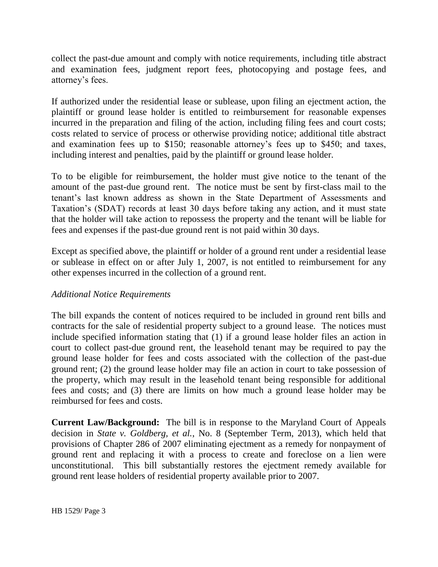collect the past-due amount and comply with notice requirements, including title abstract and examination fees, judgment report fees, photocopying and postage fees, and attorney's fees.

If authorized under the residential lease or sublease, upon filing an ejectment action, the plaintiff or ground lease holder is entitled to reimbursement for reasonable expenses incurred in the preparation and filing of the action, including filing fees and court costs; costs related to service of process or otherwise providing notice; additional title abstract and examination fees up to \$150; reasonable attorney's fees up to \$450; and taxes, including interest and penalties, paid by the plaintiff or ground lease holder.

To to be eligible for reimbursement, the holder must give notice to the tenant of the amount of the past-due ground rent. The notice must be sent by first-class mail to the tenant's last known address as shown in the State Department of Assessments and Taxation's (SDAT) records at least 30 days before taking any action, and it must state that the holder will take action to repossess the property and the tenant will be liable for fees and expenses if the past-due ground rent is not paid within 30 days.

Except as specified above, the plaintiff or holder of a ground rent under a residential lease or sublease in effect on or after July 1, 2007, is not entitled to reimbursement for any other expenses incurred in the collection of a ground rent.

#### *Additional Notice Requirements*

The bill expands the content of notices required to be included in ground rent bills and contracts for the sale of residential property subject to a ground lease. The notices must include specified information stating that (1) if a ground lease holder files an action in court to collect past-due ground rent, the leasehold tenant may be required to pay the ground lease holder for fees and costs associated with the collection of the past-due ground rent; (2) the ground lease holder may file an action in court to take possession of the property, which may result in the leasehold tenant being responsible for additional fees and costs; and (3) there are limits on how much a ground lease holder may be reimbursed for fees and costs.

**Current Law/Background:** The bill is in response to the Maryland Court of Appeals decision in *State v. Goldberg, et al.*, No. 8 (September Term, 2013), which held that provisions of Chapter 286 of 2007 eliminating ejectment as a remedy for nonpayment of ground rent and replacing it with a process to create and foreclose on a lien were unconstitutional. This bill substantially restores the ejectment remedy available for ground rent lease holders of residential property available prior to 2007.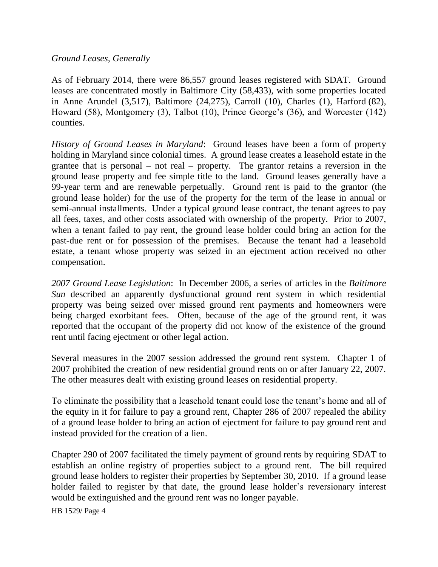### *Ground Leases, Generally*

As of February 2014, there were 86,557 ground leases registered with SDAT. Ground leases are concentrated mostly in Baltimore City (58,433), with some properties located in Anne Arundel (3,517), Baltimore (24,275), Carroll (10), Charles (1), Harford (82), Howard (58), Montgomery (3), Talbot (10), Prince George's (36), and Worcester (142) counties.

*History of Ground Leases in Maryland*: Ground leases have been a form of property holding in Maryland since colonial times. A ground lease creates a leasehold estate in the grantee that is personal – not real – property. The grantor retains a reversion in the ground lease property and fee simple title to the land. Ground leases generally have a 99-year term and are renewable perpetually. Ground rent is paid to the grantor (the ground lease holder) for the use of the property for the term of the lease in annual or semi-annual installments. Under a typical ground lease contract, the tenant agrees to pay all fees, taxes, and other costs associated with ownership of the property. Prior to 2007, when a tenant failed to pay rent, the ground lease holder could bring an action for the past-due rent or for possession of the premises. Because the tenant had a leasehold estate, a tenant whose property was seized in an ejectment action received no other compensation.

*2007 Ground Lease Legislation*: In December 2006, a series of articles in the *Baltimore Sun* described an apparently dysfunctional ground rent system in which residential property was being seized over missed ground rent payments and homeowners were being charged exorbitant fees. Often, because of the age of the ground rent, it was reported that the occupant of the property did not know of the existence of the ground rent until facing ejectment or other legal action.

Several measures in the 2007 session addressed the ground rent system. Chapter 1 of 2007 prohibited the creation of new residential ground rents on or after January 22, 2007. The other measures dealt with existing ground leases on residential property.

To eliminate the possibility that a leasehold tenant could lose the tenant's home and all of the equity in it for failure to pay a ground rent, Chapter 286 of 2007 repealed the ability of a ground lease holder to bring an action of ejectment for failure to pay ground rent and instead provided for the creation of a lien.

Chapter 290 of 2007 facilitated the timely payment of ground rents by requiring SDAT to establish an online registry of properties subject to a ground rent. The bill required ground lease holders to register their properties by September 30, 2010. If a ground lease holder failed to register by that date, the ground lease holder's reversionary interest would be extinguished and the ground rent was no longer payable.

HB 1529/ Page 4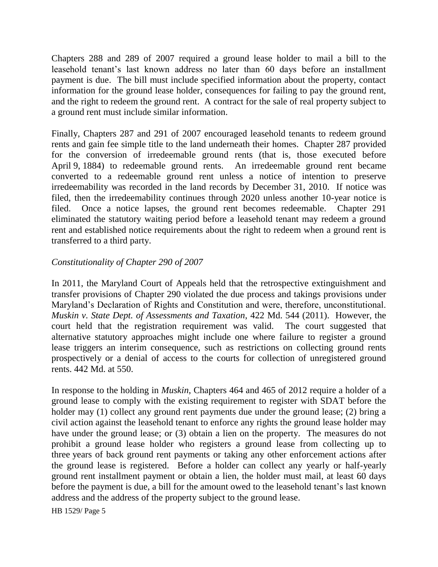Chapters 288 and 289 of 2007 required a ground lease holder to mail a bill to the leasehold tenant's last known address no later than 60 days before an installment payment is due. The bill must include specified information about the property, contact information for the ground lease holder, consequences for failing to pay the ground rent, and the right to redeem the ground rent. A contract for the sale of real property subject to a ground rent must include similar information.

Finally, Chapters 287 and 291 of 2007 encouraged leasehold tenants to redeem ground rents and gain fee simple title to the land underneath their homes. Chapter 287 provided for the conversion of irredeemable ground rents (that is, those executed before April 9, 1884) to redeemable ground rents. An irredeemable ground rent became converted to a redeemable ground rent unless a notice of intention to preserve irredeemability was recorded in the land records by December 31, 2010. If notice was filed, then the irredeemability continues through 2020 unless another 10-year notice is filed. Once a notice lapses, the ground rent becomes redeemable. Chapter 291 eliminated the statutory waiting period before a leasehold tenant may redeem a ground rent and established notice requirements about the right to redeem when a ground rent is transferred to a third party.

## *Constitutionality of Chapter 290 of 2007*

In 2011, the Maryland Court of Appeals held that the retrospective extinguishment and transfer provisions of Chapter 290 violated the due process and takings provisions under Maryland's Declaration of Rights and Constitution and were, therefore, unconstitutional. *Muskin v. State Dept. of Assessments and Taxation*, 422 Md. 544 (2011). However, the court held that the registration requirement was valid. The court suggested that alternative statutory approaches might include one where failure to register a ground lease triggers an interim consequence, such as restrictions on collecting ground rents prospectively or a denial of access to the courts for collection of unregistered ground rents. 442 Md. at 550.

In response to the holding in *Muskin*, Chapters 464 and 465 of 2012 require a holder of a ground lease to comply with the existing requirement to register with SDAT before the holder may (1) collect any ground rent payments due under the ground lease; (2) bring a civil action against the leasehold tenant to enforce any rights the ground lease holder may have under the ground lease; or (3) obtain a lien on the property. The measures do not prohibit a ground lease holder who registers a ground lease from collecting up to three years of back ground rent payments or taking any other enforcement actions after the ground lease is registered. Before a holder can collect any yearly or half-yearly ground rent installment payment or obtain a lien, the holder must mail, at least 60 days before the payment is due, a bill for the amount owed to the leasehold tenant's last known address and the address of the property subject to the ground lease.

HB 1529/ Page 5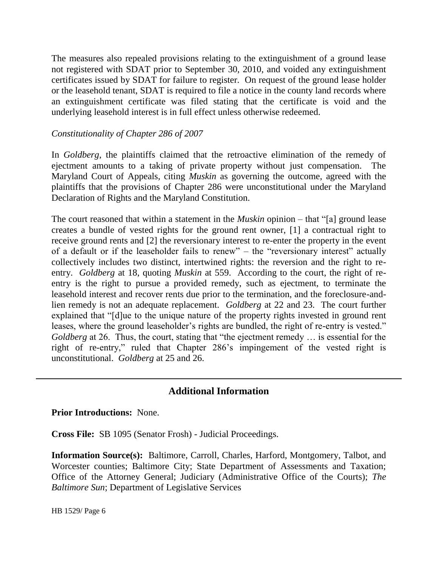The measures also repealed provisions relating to the extinguishment of a ground lease not registered with SDAT prior to September 30, 2010, and voided any extinguishment certificates issued by SDAT for failure to register. On request of the ground lease holder or the leasehold tenant, SDAT is required to file a notice in the county land records where an extinguishment certificate was filed stating that the certificate is void and the underlying leasehold interest is in full effect unless otherwise redeemed.

## *Constitutionality of Chapter 286 of 2007*

In *Goldberg*, the plaintiffs claimed that the retroactive elimination of the remedy of ejectment amounts to a taking of private property without just compensation. The Maryland Court of Appeals, citing *Muskin* as governing the outcome, agreed with the plaintiffs that the provisions of Chapter 286 were unconstitutional under the Maryland Declaration of Rights and the Maryland Constitution.

The court reasoned that within a statement in the *Muskin* opinion *–* that "[a] ground lease creates a bundle of vested rights for the ground rent owner, [1] a contractual right to receive ground rents and [2] the reversionary interest to re-enter the property in the event of a default or if the leaseholder fails to renew" – the "reversionary interest" actually collectively includes two distinct, intertwined rights: the reversion and the right to reentry. *Goldberg* at 18, quoting *Muskin* at 559. According to the court, the right of reentry is the right to pursue a provided remedy, such as ejectment, to terminate the leasehold interest and recover rents due prior to the termination, and the foreclosure-andlien remedy is not an adequate replacement. *Goldberg* at 22 and 23. The court further explained that "[d]ue to the unique nature of the property rights invested in ground rent leases, where the ground leaseholder's rights are bundled, the right of re-entry is vested." *Goldberg* at 26. Thus, the court, stating that "the ejectment remedy ... is essential for the right of re-entry," ruled that Chapter 286's impingement of the vested right is unconstitutional. *Goldberg* at 25 and 26.

## **Additional Information**

**Prior Introductions:** None.

**Cross File:** SB 1095 (Senator Frosh) - Judicial Proceedings.

**Information Source(s):** Baltimore, Carroll, Charles, Harford, Montgomery, Talbot, and Worcester counties; Baltimore City; State Department of Assessments and Taxation; Office of the Attorney General; Judiciary (Administrative Office of the Courts); *The Baltimore Sun*; Department of Legislative Services